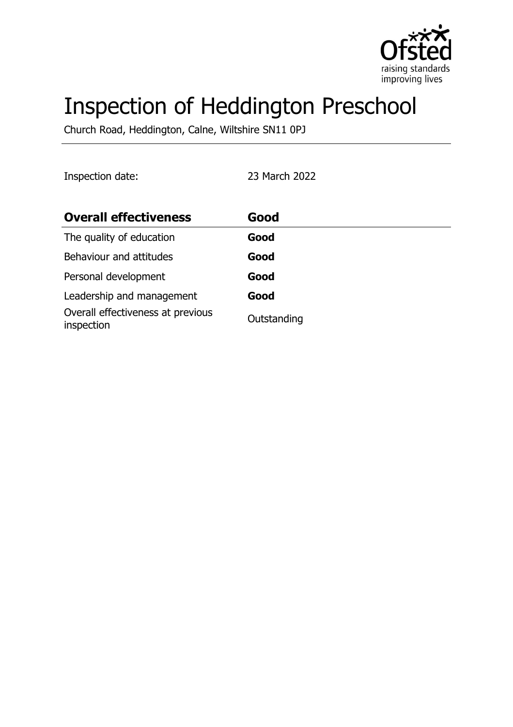

# Inspection of Heddington Preschool

Church Road, Heddington, Calne, Wiltshire SN11 0PJ

| Inspection date: |  |
|------------------|--|
|                  |  |

Inspection date: 23 March 2022

| <b>Overall effectiveness</b>                    | Good        |
|-------------------------------------------------|-------------|
| The quality of education                        | Good        |
| Behaviour and attitudes                         | Good        |
| Personal development                            | Good        |
| Leadership and management                       | Good        |
| Overall effectiveness at previous<br>inspection | Outstanding |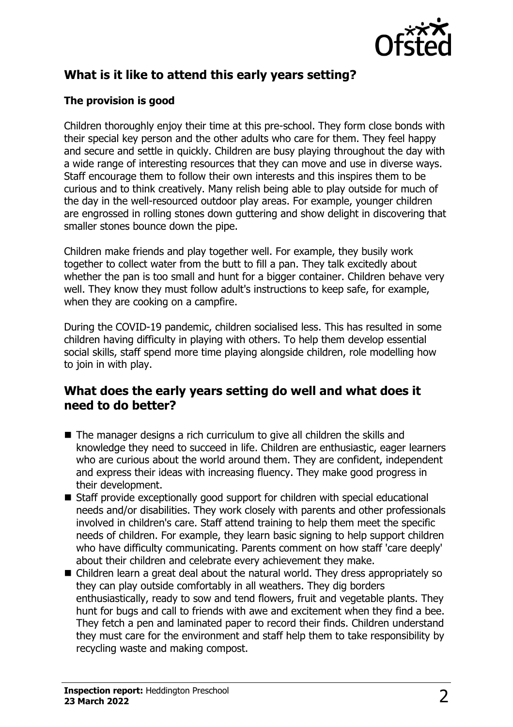

# **What is it like to attend this early years setting?**

#### **The provision is good**

Children thoroughly enjoy their time at this pre-school. They form close bonds with their special key person and the other adults who care for them. They feel happy and secure and settle in quickly. Children are busy playing throughout the day with a wide range of interesting resources that they can move and use in diverse ways. Staff encourage them to follow their own interests and this inspires them to be curious and to think creatively. Many relish being able to play outside for much of the day in the well-resourced outdoor play areas. For example, younger children are engrossed in rolling stones down guttering and show delight in discovering that smaller stones bounce down the pipe.

Children make friends and play together well. For example, they busily work together to collect water from the butt to fill a pan. They talk excitedly about whether the pan is too small and hunt for a bigger container. Children behave very well. They know they must follow adult's instructions to keep safe, for example, when they are cooking on a campfire.

During the COVID-19 pandemic, children socialised less. This has resulted in some children having difficulty in playing with others. To help them develop essential social skills, staff spend more time playing alongside children, role modelling how to join in with play.

### **What does the early years setting do well and what does it need to do better?**

- $\blacksquare$  The manager designs a rich curriculum to give all children the skills and knowledge they need to succeed in life. Children are enthusiastic, eager learners who are curious about the world around them. They are confident, independent and express their ideas with increasing fluency. They make good progress in their development.
- $\blacksquare$  Staff provide exceptionally good support for children with special educational needs and/or disabilities. They work closely with parents and other professionals involved in children's care. Staff attend training to help them meet the specific needs of children. For example, they learn basic signing to help support children who have difficulty communicating. Parents comment on how staff 'care deeply' about their children and celebrate every achievement they make.
- Children learn a great deal about the natural world. They dress appropriately so they can play outside comfortably in all weathers. They dig borders enthusiastically, ready to sow and tend flowers, fruit and vegetable plants. They hunt for bugs and call to friends with awe and excitement when they find a bee. They fetch a pen and laminated paper to record their finds. Children understand they must care for the environment and staff help them to take responsibility by recycling waste and making compost.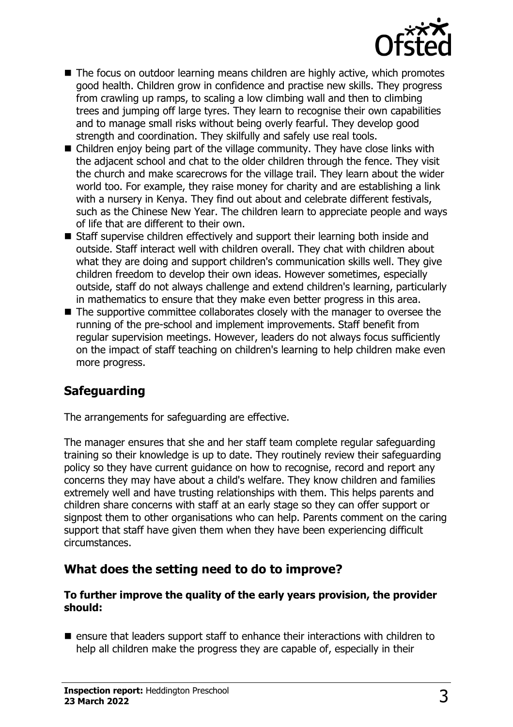

- $\blacksquare$  The focus on outdoor learning means children are highly active, which promotes good health. Children grow in confidence and practise new skills. They progress from crawling up ramps, to scaling a low climbing wall and then to climbing trees and jumping off large tyres. They learn to recognise their own capabilities and to manage small risks without being overly fearful. They develop good strength and coordination. They skilfully and safely use real tools.
- $\blacksquare$  Children enjov being part of the village community. They have close links with the adjacent school and chat to the older children through the fence. They visit the church and make scarecrows for the village trail. They learn about the wider world too. For example, they raise money for charity and are establishing a link with a nursery in Kenya. They find out about and celebrate different festivals, such as the Chinese New Year. The children learn to appreciate people and ways of life that are different to their own.
- $\blacksquare$  Staff supervise children effectively and support their learning both inside and outside. Staff interact well with children overall. They chat with children about what they are doing and support children's communication skills well. They give children freedom to develop their own ideas. However sometimes, especially outside, staff do not always challenge and extend children's learning, particularly in mathematics to ensure that they make even better progress in this area.
- $\blacksquare$  The supportive committee collaborates closely with the manager to oversee the running of the pre-school and implement improvements. Staff benefit from regular supervision meetings. However, leaders do not always focus sufficiently on the impact of staff teaching on children's learning to help children make even more progress.

## **Safeguarding**

The arrangements for safeguarding are effective.

The manager ensures that she and her staff team complete regular safeguarding training so their knowledge is up to date. They routinely review their safeguarding policy so they have current guidance on how to recognise, record and report any concerns they may have about a child's welfare. They know children and families extremely well and have trusting relationships with them. This helps parents and children share concerns with staff at an early stage so they can offer support or signpost them to other organisations who can help. Parents comment on the caring support that staff have given them when they have been experiencing difficult circumstances.

### **What does the setting need to do to improve?**

#### **To further improve the quality of the early years provision, the provider should:**

 $\blacksquare$  ensure that leaders support staff to enhance their interactions with children to help all children make the progress they are capable of, especially in their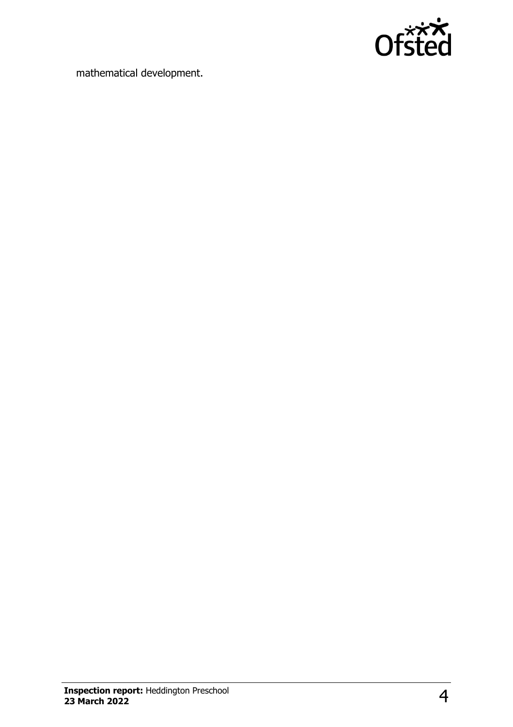

mathematical development.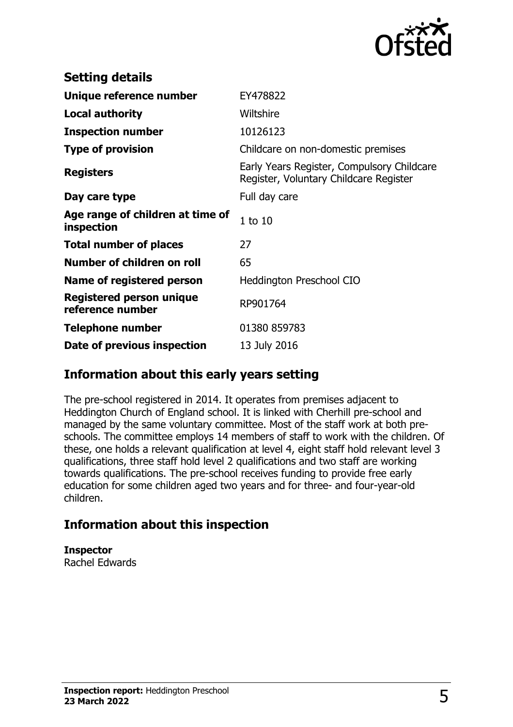

| <b>Setting details</b>                         |                                                                                      |
|------------------------------------------------|--------------------------------------------------------------------------------------|
| Unique reference number                        | EY478822                                                                             |
| <b>Local authority</b>                         | Wiltshire                                                                            |
| <b>Inspection number</b>                       | 10126123                                                                             |
| <b>Type of provision</b>                       | Childcare on non-domestic premises                                                   |
| <b>Registers</b>                               | Early Years Register, Compulsory Childcare<br>Register, Voluntary Childcare Register |
| Day care type                                  | Full day care                                                                        |
| Age range of children at time of<br>inspection | $1$ to $10$                                                                          |
| <b>Total number of places</b>                  | 27                                                                                   |
| Number of children on roll                     | 65                                                                                   |
| Name of registered person                      | <b>Heddington Preschool CIO</b>                                                      |
| Registered person unique<br>reference number   | RP901764                                                                             |
| Telephone number                               | 01380 859783                                                                         |
| Date of previous inspection                    | 13 July 2016                                                                         |

### **Information about this early years setting**

The pre-school registered in 2014. It operates from premises adjacent to Heddington Church of England school. It is linked with Cherhill pre-school and managed by the same voluntary committee. Most of the staff work at both preschools. The committee employs 14 members of staff to work with the children. Of these, one holds a relevant qualification at level 4, eight staff hold relevant level 3 qualifications, three staff hold level 2 qualifications and two staff are working towards qualifications. The pre-school receives funding to provide free early education for some children aged two years and for three- and four-year-old children.

### **Information about this inspection**

**Inspector**

Rachel Edwards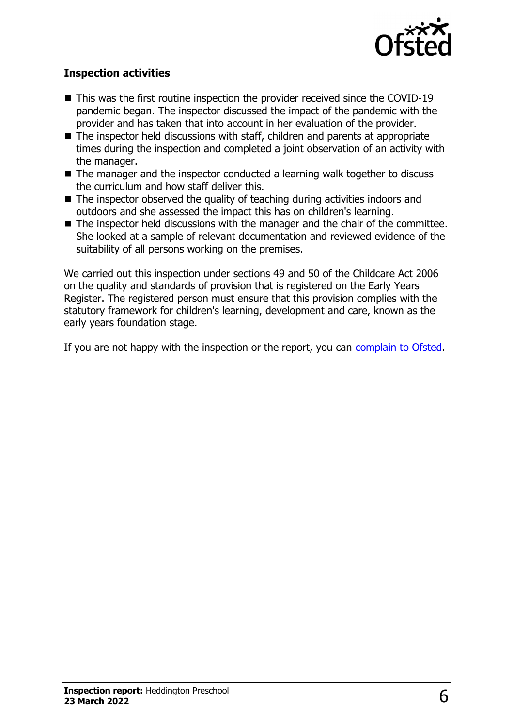

#### **Inspection activities**

- $\blacksquare$  This was the first routine inspection the provider received since the COVID-19 pandemic began. The inspector discussed the impact of the pandemic with the provider and has taken that into account in her evaluation of the provider.
- $\blacksquare$  The inspector held discussions with staff, children and parents at appropriate times during the inspection and completed a joint observation of an activity with the manager.
- $\blacksquare$  The manager and the inspector conducted a learning walk together to discuss the curriculum and how staff deliver this.
- $\blacksquare$  The inspector observed the quality of teaching during activities indoors and outdoors and she assessed the impact this has on children's learning.
- $\blacksquare$  The inspector held discussions with the manager and the chair of the committee. She looked at a sample of relevant documentation and reviewed evidence of the suitability of all persons working on the premises.

We carried out this inspection under sections 49 and 50 of the Childcare Act 2006 on the quality and standards of provision that is registered on the Early Years Register. The registered person must ensure that this provision complies with the statutory framework for children's learning, development and care, known as the early years foundation stage.

If you are not happy with the inspection or the report, you can [complain to Ofsted](http://www.gov.uk/complain-ofsted-report).